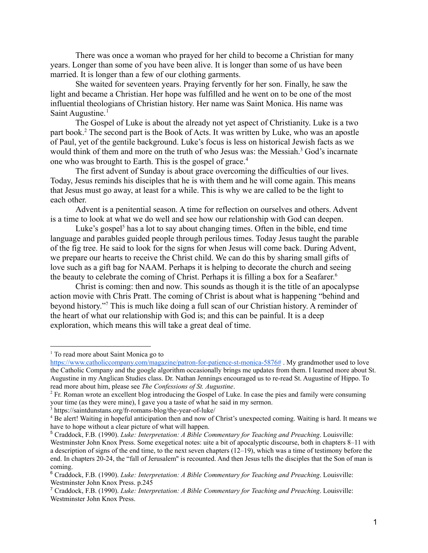There was once a woman who prayed for her child to become a Christian for many years. Longer than some of you have been alive. It is longer than some of us have been married. It is longer than a few of our clothing garments.

She waited for seventeen years. Praying fervently for her son. Finally, he saw the light and became a Christian. Her hope was fulfilled and he went on to be one of the most influential theologians of Christian history. Her name was Saint Monica. His name was Saint Augustine.<sup>1</sup>

The Gospel of Luke is about the already not yet aspect of Christianity. Luke is a two part book.<sup>2</sup> The second part is the Book of Acts. It was written by Luke, who was an apostle of Paul, yet of the gentile background. Luke's focus is less on historical Jewish facts as we would think of them and more on the truth of who Jesus was: the Messiah.<sup>3</sup> God's incarnate one who was brought to Earth. This is the gospel of grace.<sup>4</sup>

The first advent of Sunday is about grace overcoming the difficulties of our lives. Today, Jesus reminds his disciples that he is with them and he will come again. This means that Jesus must go away, at least for a while. This is why we are called to be the light to each other.

Advent is a penitential season. A time for reflection on ourselves and others. Advent is a time to look at what we do well and see how our relationship with God can deepen.

Luke's gospel<sup>5</sup> has a lot to say about changing times. Often in the bible, end time language and parables guided people through perilous times. Today Jesus taught the parable of the fig tree. He said to look for the signs for when Jesus will come back. During Advent, we prepare our hearts to receive the Christ child. We can do this by sharing small gifts of love such as a gift bag for NAAM. Perhaps it is helping to decorate the church and seeing the beauty to celebrate the coming of Christ. Perhaps it is filling a box for a Seafarer. 6

Christ is coming: then and now. This sounds as though it is the title of an apocalypse action movie with Chris Pratt. The coming of Christ is about what is happening "behind and beyond history."<sup>7</sup> This is much like doing a full scan of our Christian history. A reminder of the heart of what our relationship with God is; and this can be painful. It is a deep exploration, which means this will take a great deal of time.

<sup>1</sup> To read more about Saint Monica go to

<https://www.catholiccompany.com/magazine/patron-for-patience-st-monica-5876#> . My grandmother used to love the Catholic Company and the google algorithm occasionally brings me updates from them. I learned more about St. Augustine in my Anglican Studies class. Dr. Nathan Jennings encouraged us to re-read St. Augustine of Hippo. To read more about him, please see *The Confessions of St. Augustine*.

<sup>2</sup> Fr. Roman wrote an excellent blog introducing the Gospel of Luke. In case the pies and family were consuming your time (as they were mine), I gave you a taste of what he said in my sermon.

<sup>3</sup> https://saintdunstans.org/fr-romans-blog/the-year-of-luke/

<sup>4</sup> Be alert! Waiting in hopeful anticipation then and now of Christ's unexpected coming. Waiting is hard. It means we have to hope without a clear picture of what will happen.

<sup>5</sup> Craddock, F.B. (1990). *Luke: Interpretation: A Bible Commentary for Teaching and Preaching*. Louisville:

Westminster John Knox Press. Some exegetical notes: uite a bit of apocalyptic discourse, both in chapters 8–11 with a description of signs of the end time, to the next seven chapters (12–19), which was a time of testimony before the end. In chapters 20-24, the "fall of Jerusalem'' is recounted. And then Jesus tells the disciples that the Son of man is coming.

<sup>6</sup> Craddock, F.B. (1990). *Luke: Interpretation: A Bible Commentary for Teaching and Preaching*. Louisville: Westminster John Knox Press. p.245

<sup>7</sup> Craddock, F.B. (1990). *Luke: Interpretation: A Bible Commentary for Teaching and Preaching*. Louisville: Westminster John Knox Press.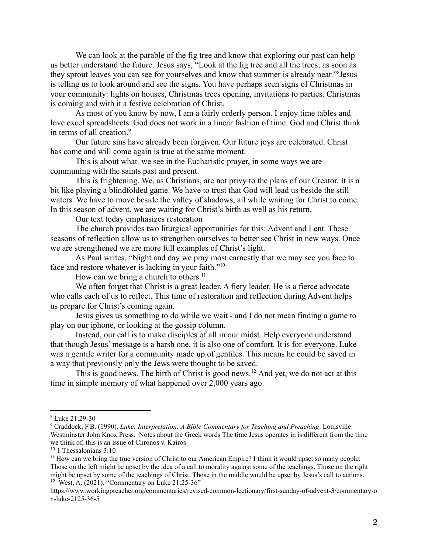We can look at the parable of the fig tree and know that exploring our past can help us better understand the future. Jesus says, "Look at the fig tree and all the trees; as soon as they sprout leaves you can see for yourselves and know that summer is already near."<sup>8</sup>Jesus is telling us to look around and see the signs. You have perhaps seen signs of Christmas in your community: lights on houses, Christmas trees opening, invitations to parties. Christmas is coming and with it a festive celebration of Christ.

As most of you know by now, I am a fairly orderly person. I enjoy time tables and love excel spreadsheets. God does not work in a linear fashion of time. God and Christ think in terms of all creation.<sup>9</sup>

Our future sins have already been forgiven. Our future joys are celebrated. Christ has come and will come again is true at the same moment.

This is about what we see in the Eucharistic prayer, in some ways we are communing with the saints past and present.

This is frightening. We, as Christians, are not privy to the plans of our Creator. It is a bit like playing a blindfolded game. We have to trust that God will lead us beside the still waters. We have to move beside the valley of shadows, all while waiting for Christ to come. In this season of advent, we are waiting for Christ's birth as well as his return.

Our text today emphasizes restoration

The church provides two liturgical opportunities for this: Advent and Lent. These seasons of reflection allow us to strengthen ourselves to better see Christ in new ways. Once we are strengthened we are more full examples of Christ's light.

As Paul writes, "Night and day we pray most earnestly that we may see you face to face and restore whatever is lacking in your faith."<sup>10</sup>

How can we bring a church to others.<sup>11</sup>

We often forget that Christ is a great leader. A fiery leader. He is a fierce advocate who calls each of us to reflect. This time of restoration and reflection during Advent helps us prepare for Christ's coming again.

Jesus gives us something to do while we wait - and I do not mean finding a game to play on our iphone, or looking at the gossip column.

Instead, our call is to make disciples of all in our midst. Help everyone understand that though Jesus' message is a harsh one, it is also one of comfort. It is for everyone. Luke was a gentile writer for a community made up of gentiles. This means he could be saved in a way that previously only the Jews were thought to be saved.

This is good news. The birth of Christ is good news.<sup>12</sup> And yet, we do not act at this time in simple memory of what happened over 2,000 years ago.

<sup>8</sup> Luke 21:29-30

<sup>9</sup> Craddock, F.B. (1990). *Luke: Interpretation: A Bible Commentary for Teaching and Preaching*. Louisville: Westminster John Knox Press. Notes about the Greek words The time Jesus operates in is different from the time we think of, this is an issue of Chronos v. Kairos

<sup>&</sup>lt;sup>10</sup> 1 Thessalonians 3:10

<sup>12</sup> West, A. (2021). "Commentary on Luke 21:25-36" <sup>11</sup> How can we bring the true version of Christ to our American Empire? I think it would upset so many people: Those on the left might be upset by the idea of a call to morality against some of the teachings. Those on the right might be upset by some of the teachings of Christ. Those in the middle would be upset by Jesus's call to actions.

https://www.workingpreacher.org/commentaries/revised-common-lectionary/first-sunday-of-advent-3/commentary-o n-luke-2125-36-5